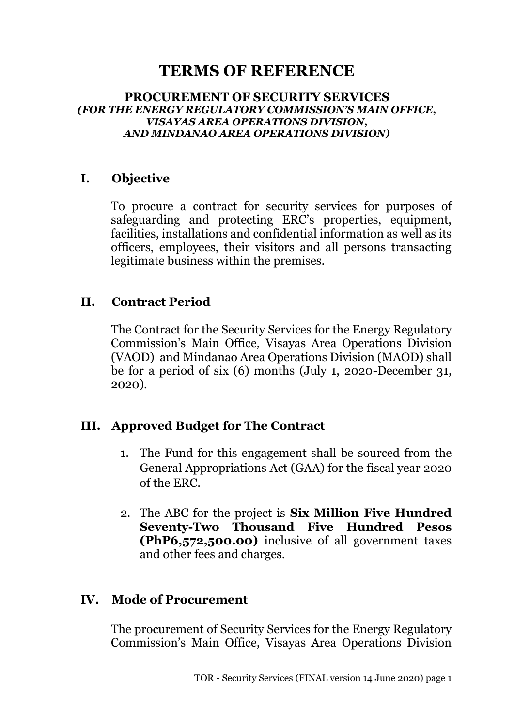# **TERMS OF REFERENCE**

#### **PROCUREMENT OF SECURITY SERVICES**  *(FOR THE ENERGY REGULATORY COMMISSION'S MAIN OFFICE, VISAYAS AREA OPERATIONS DIVISION, AND MINDANAO AREA OPERATIONS DIVISION)*

#### **I. Objective**

To procure a contract for security services for purposes of safeguarding and protecting ERC's properties, equipment, facilities, installations and confidential information as well as its officers, employees, their visitors and all persons transacting legitimate business within the premises.

#### **II. Contract Period**

The Contract for the Security Services for the Energy Regulatory Commission's Main Office, Visayas Area Operations Division (VAOD) and Mindanao Area Operations Division (MAOD) shall be for a period of six (6) months (July 1, 2020-December 31, 2020).

### **III. Approved Budget for The Contract**

- 1. The Fund for this engagement shall be sourced from the General Appropriations Act (GAA) for the fiscal year 2020 of the ERC.
- 2. The ABC for the project is **Six Million Five Hundred Seventy-Two Thousand Five Hundred Pesos (PhP6,572,500.00)** inclusive of all government taxes and other fees and charges.

#### **IV. Mode of Procurement**

The procurement of Security Services for the Energy Regulatory Commission's Main Office, Visayas Area Operations Division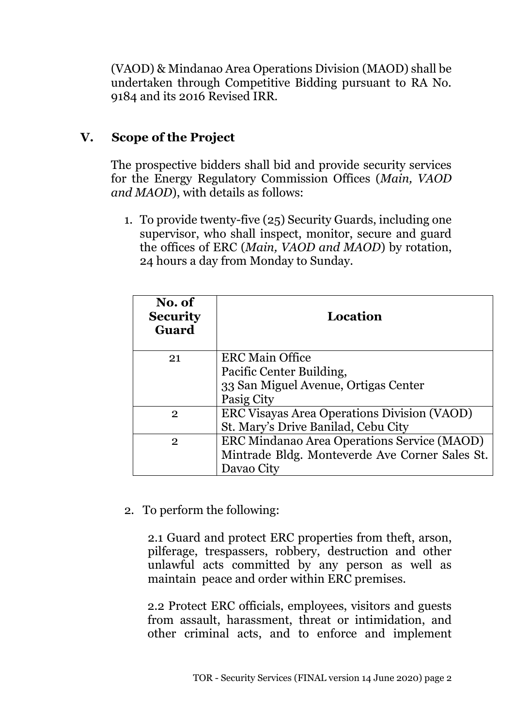(VAOD) & Mindanao Area Operations Division (MAOD) shall be undertaken through Competitive Bidding pursuant to RA No. 9184 and its 2016 Revised IRR.

### **V. Scope of the Project**

The prospective bidders shall bid and provide security services for the Energy Regulatory Commission Offices (*Main, VAOD and MAOD*), with details as follows:

1. To provide twenty-five (25) Security Guards, including one supervisor, who shall inspect, monitor, secure and guard the offices of ERC (*Main, VAOD and MAOD*) by rotation, 24 hours a day from Monday to Sunday.

| No. of<br><b>Security</b><br>Guard | Location                                           |
|------------------------------------|----------------------------------------------------|
| 21                                 | <b>ERC Main Office</b>                             |
|                                    | Pacific Center Building,                           |
|                                    | 33 San Miguel Avenue, Ortigas Center               |
|                                    | Pasig City                                         |
| $\overline{2}$                     | <b>ERC Visayas Area Operations Division (VAOD)</b> |
|                                    | St. Mary's Drive Banilad, Cebu City                |
| 2                                  | <b>ERC Mindanao Area Operations Service (MAOD)</b> |
|                                    | Mintrade Bldg. Monteverde Ave Corner Sales St.     |
|                                    | Davao City                                         |

2. To perform the following:

2.1 Guard and protect ERC properties from theft, arson, pilferage, trespassers, robbery, destruction and other unlawful acts committed by any person as well as maintain peace and order within ERC premises.

 2.2 Protect ERC officials, employees, visitors and guests from assault, harassment, threat or intimidation, and other criminal acts, and to enforce and implement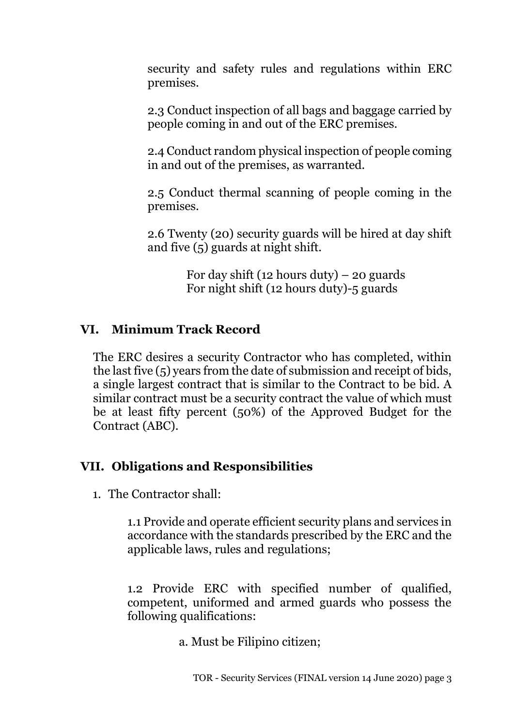security and safety rules and regulations within ERC premises.

2.3 Conduct inspection of all bags and baggage carried by people coming in and out of the ERC premises.

2.4 Conduct random physical inspection of people coming in and out of the premises, as warranted.

2.5 Conduct thermal scanning of people coming in the premises.

2.6 Twenty (20) security guards will be hired at day shift and five (5) guards at night shift.

> For day shift (12 hours duty) – 20 guards For night shift (12 hours duty)-5 guards

## **VI. Minimum Track Record**

The ERC desires a security Contractor who has completed, within the last five (5) years from the date of submission and receipt of bids, a single largest contract that is similar to the Contract to be bid. A similar contract must be a security contract the value of which must be at least fifty percent (50%) of the Approved Budget for the Contract (ABC).

### **VII. Obligations and Responsibilities**

1. The Contractor shall:

1.1 Provide and operate efficient security plans and services in accordance with the standards prescribed by the ERC and the applicable laws, rules and regulations;

1.2 Provide ERC with specified number of qualified, competent, uniformed and armed guards who possess the following qualifications:

a. Must be Filipino citizen;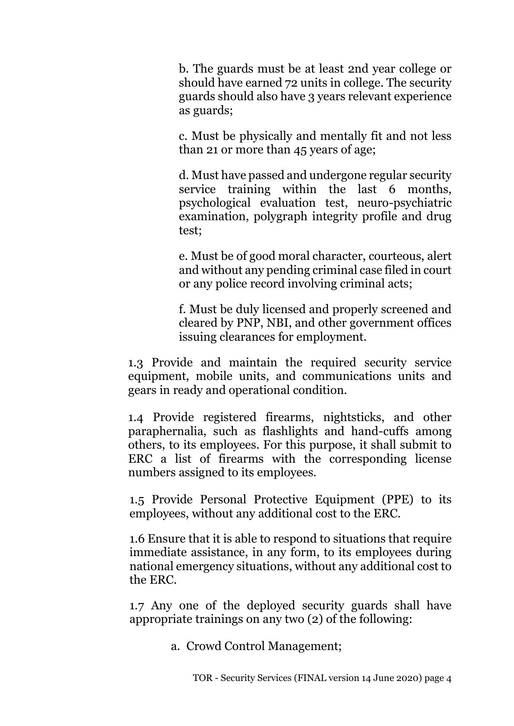b. The guards must be at least 2nd year college or should have earned 72 units in college. The security guards should also have 3 years relevant experience as guards;

c. Must be physically and mentally fit and not less than 21 or more than 45 years of age;

d. Must have passed and undergone regular security service training within the last 6 months, psychological evaluation test, neuro-psychiatric examination, polygraph integrity profile and drug test;

e. Must be of good moral character, courteous, alert and without any pending criminal case filed in court or any police record involving criminal acts;

f. Must be duly licensed and properly screened and cleared by PNP, NBI, and other government offices issuing clearances for employment.

1.3 Provide and maintain the required security service equipment, mobile units, and communications units and gears in ready and operational condition.

1.4 Provide registered firearms, nightsticks, and other paraphernalia, such as flashlights and hand-cuffs among others, to its employees. For this purpose, it shall submit to ERC a list of firearms with the corresponding license numbers assigned to its employees.

1.5 Provide Personal Protective Equipment (PPE) to its employees, without any additional cost to the ERC.

1.6 Ensure that it is able to respond to situations that require immediate assistance, in any form, to its employees during national emergency situations, without any additional cost to the ERC.

1.7 Any one of the deployed security guards shall have appropriate trainings on any two (2) of the following:

a. Crowd Control Management;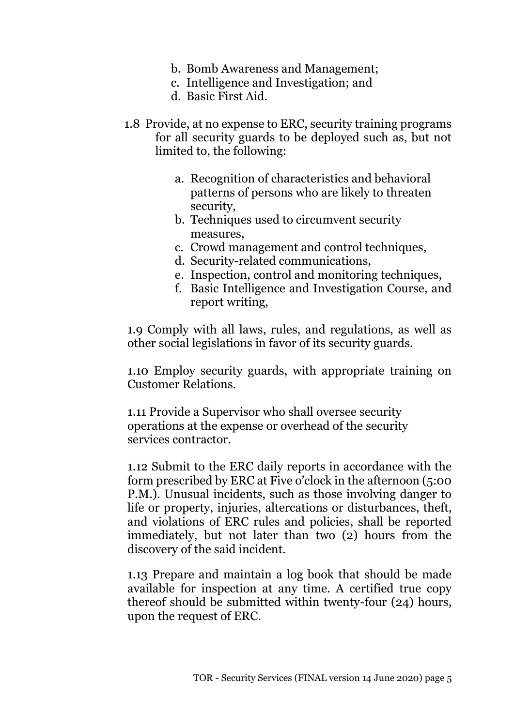- b. Bomb Awareness and Management;
- c. Intelligence and Investigation; and
- d. Basic First Aid.
- 1.8 Provide, at no expense to ERC, security training programs for all security guards to be deployed such as, but not limited to, the following:
	- a. Recognition of characteristics and behavioral patterns of persons who are likely to threaten security,
	- b. Techniques used to circumvent security measures,
	- c. Crowd management and control techniques,
	- d. Security-related communications,
	- e. Inspection, control and monitoring techniques,
	- f. Basic Intelligence and Investigation Course, and report writing,

1.9 Comply with all laws, rules, and regulations, as well as other social legislations in favor of its security guards.

1.10 Employ security guards, with appropriate training on Customer Relations.

1.11 Provide a Supervisor who shall oversee security operations at the expense or overhead of the security services contractor.

1.12 Submit to the ERC daily reports in accordance with the form prescribed by ERC at Five o'clock in the afternoon (5:00 P.M.). Unusual incidents, such as those involving danger to life or property, injuries, altercations or disturbances, theft, and violations of ERC rules and policies, shall be reported immediately, but not later than two (2) hours from the discovery of the said incident.

1.13 Prepare and maintain a log book that should be made available for inspection at any time. A certified true copy thereof should be submitted within twenty-four (24) hours, upon the request of ERC.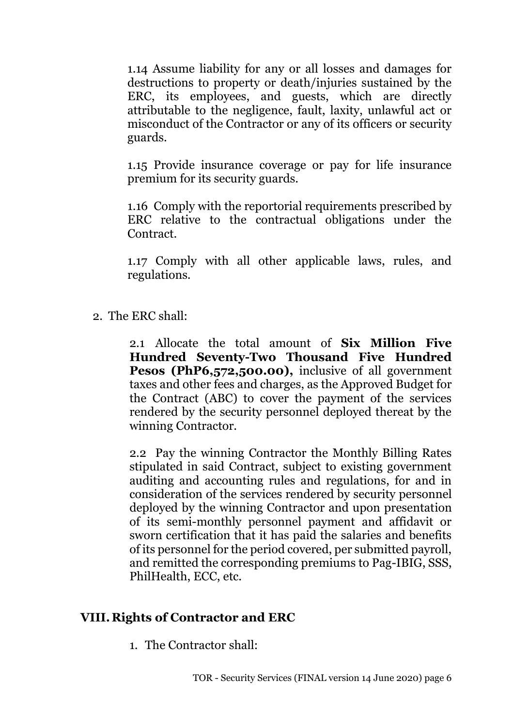1.14 Assume liability for any or all losses and damages for destructions to property or death/injuries sustained by the ERC, its employees, and guests, which are directly attributable to the negligence, fault, laxity, unlawful act or misconduct of the Contractor or any of its officers or security guards.

1.15 Provide insurance coverage or pay for life insurance premium for its security guards.

1.16 Comply with the reportorial requirements prescribed by ERC relative to the contractual obligations under the Contract.

1.17 Comply with all other applicable laws, rules, and regulations.

2. The ERC shall:

2.1 Allocate the total amount of **Six Million Five Hundred Seventy-Two Thousand Five Hundred Pesos (PhP6,572,500.00),** inclusive of all government taxes and other fees and charges, as the Approved Budget for the Contract (ABC) to cover the payment of the services rendered by the security personnel deployed thereat by the winning Contractor.

2.2 Pay the winning Contractor the Monthly Billing Rates stipulated in said Contract, subject to existing government auditing and accounting rules and regulations, for and in consideration of the services rendered by security personnel deployed by the winning Contractor and upon presentation of its semi-monthly personnel payment and affidavit or sworn certification that it has paid the salaries and benefits of its personnel for the period covered, per submitted payroll, and remitted the corresponding premiums to Pag-IBIG, SSS, PhilHealth, ECC, etc.

### **VIII.Rights of Contractor and ERC**

1. The Contractor shall: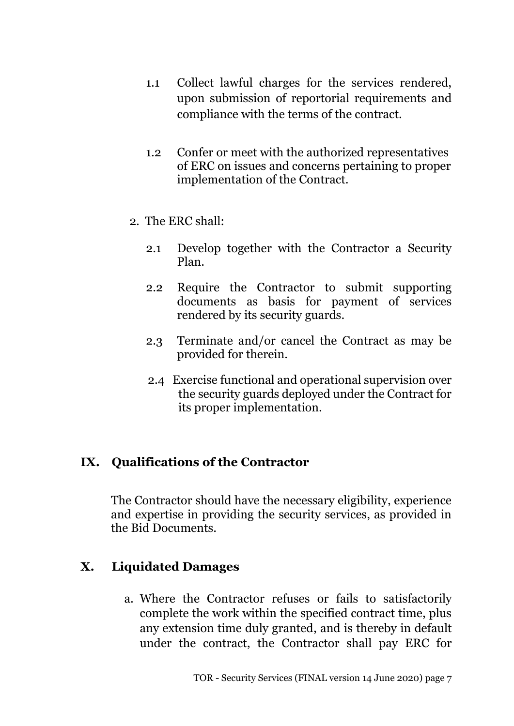- 1.1 Collect lawful charges for the services rendered, upon submission of reportorial requirements and compliance with the terms of the contract.
- 1.2 Confer or meet with the authorized representatives of ERC on issues and concerns pertaining to proper implementation of the Contract.
- 2. The ERC shall:
	- 2.1 Develop together with the Contractor a Security Plan.
	- 2.2 Require the Contractor to submit supporting documents as basis for payment of services rendered by its security guards.
	- 2.3 Terminate and/or cancel the Contract as may be provided for therein.
	- 2.4 Exercise functional and operational supervision over the security guards deployed under the Contract for its proper implementation.

### **IX. Qualifications of the Contractor**

The Contractor should have the necessary eligibility, experience and expertise in providing the security services, as provided in the Bid Documents.

### **X. Liquidated Damages**

a. Where the Contractor refuses or fails to satisfactorily complete the work within the specified contract time, plus any extension time duly granted, and is thereby in default under the contract, the Contractor shall pay ERC for